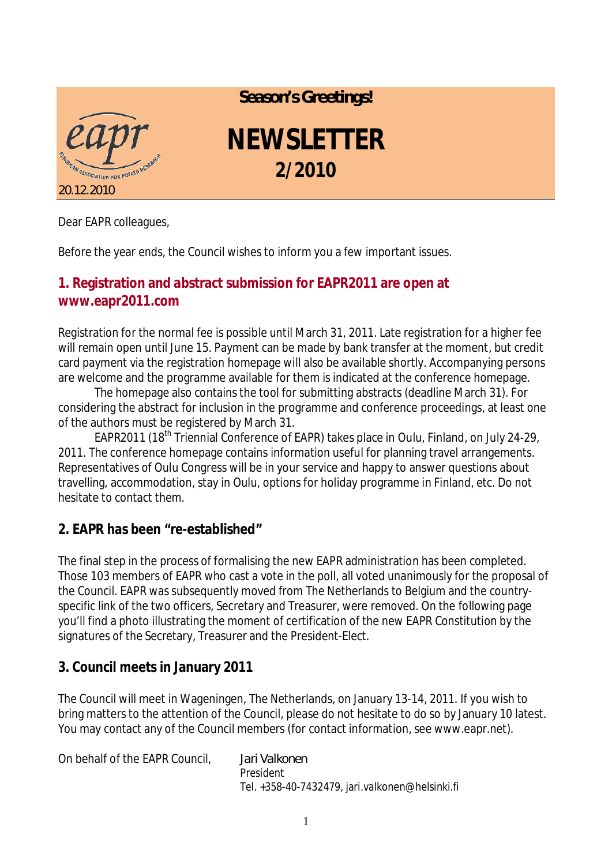

*Season's Greetings!*

## **NEWSLETTER 2/2010**

Dear EAPR colleagues,

Before the year ends, the Council wishes to inform you a few important issues.

## **1. Registration and abstract submission for EAPR2011 are open at [www.eapr2011.com](http://www.eapr2011.com)**

Registration for the normal fee is possible until March 31, 2011. Late registration for a higher fee will remain open until June 15. Payment can be made by bank transfer at the moment, but credit card payment via the registration homepage will also be available shortly. Accompanying persons are welcome and the programme available for them is indicated at the conference homepage.

The homepage also contains the tool for submitting abstracts (deadline March 31). For considering the abstract for inclusion in the programme and conference proceedings, at least one of the authors must be registered by March 31.

EAPR2011 (18<sup>th</sup> Triennial Conference of EAPR) takes place in Oulu, Finland, on July 24-29, 2011. The conference homepage contains information useful for planning travel arrangements. Representatives of Oulu Congress will be in your service and happy to answer questions about travelling, accommodation, stay in Oulu, options for holiday programme in Finland, etc. Do not hesitate to contact them.

## **2. EAPR has been "re-established"**

The final step in the process of formalising the new EAPR administration has been completed. Those 103 members of EAPR who cast a vote in the poll, all voted unanimously for the proposal of the Council. EAPR was subsequently moved from The Netherlands to Belgium and the countryspecific link of the two officers, Secretary and Treasurer, were removed. On the following page you'll find a photo illustrating the moment of certification of the new EAPR Constitution by the signatures of the Secretary, Treasurer and the President-Elect.

## **3. Council meets in January 2011**

The Council will meet in Wageningen, The Netherlands, on January 13-14, 2011. If you wish to bring matters to the attention of the Council, please do not hesitate to do so by January 10 latest. You may contact any of the Council members (for contact information, see [www.eapr.net](http://www.eapr.net)).

On behalf of the EAPR Council, *Jari Valkonen* President Tel. +358-40-7432479, [jari.valkonen@helsinki.fi](mailto:jari.valkonen@helsinki.fi)